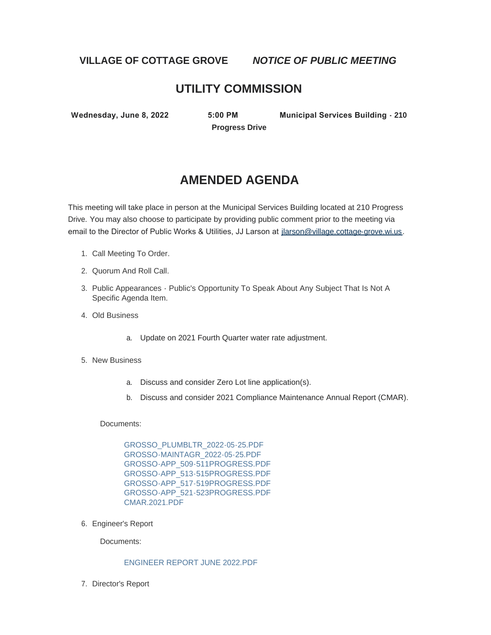**VILLAGE OF COTTAGE GROVE** *NOTICE OF PUBLIC MEETING*

# **UTILITY COMMISSION**

**Progress Drive**

**Wednesday, June 8, 2022 5:00 PM Municipal Services Building - 210** 

# **AMENDED AGENDA**

This meeting will take place in person at the Municipal Services Building located at 210 Progress Drive. You may also choose to participate by providing public comment prior to the meeting via email to the Director of Public Works & Utilities, JJ Larson at [jlarson@village.cottage-grove.wi.us](mailto:jlarson@village.cottage-grove.wi.us).

- 1. Call Meeting To Order.
- 2. Quorum And Roll Call.
- 3. Public Appearances Public's Opportunity To Speak About Any Subject That Is Not A Specific Agenda Item.
- Old Business 4.
	- a. Update on 2021 Fourth Quarter water rate adjustment.
- 5. New Business
	- a. Discuss and consider Zero Lot line application(s).
	- b. Discuss and consider 2021 Compliance Maintenance Annual Report (CMAR).

Documents:

[GROSSO\\_PLUMBLTR\\_2022-05-25.PDF](https://www.vi.cottagegrove.wi.gov/AgendaCenter/ViewFile/Item/10244?fileID=19984) [GROSSO-MAINTAGR\\_2022-05-25.PDF](https://www.vi.cottagegrove.wi.gov/AgendaCenter/ViewFile/Item/10244?fileID=19985) [GROSSO-APP\\_509-511PROGRESS.PDF](https://www.vi.cottagegrove.wi.gov/AgendaCenter/ViewFile/Item/10244?fileID=19986) [GROSSO-APP\\_513-515PROGRESS.PDF](https://www.vi.cottagegrove.wi.gov/AgendaCenter/ViewFile/Item/10244?fileID=19987) [GROSSO-APP\\_517-519PROGRESS.PDF](https://www.vi.cottagegrove.wi.gov/AgendaCenter/ViewFile/Item/10244?fileID=19988) [GROSSO-APP\\_521-523PROGRESS.PDF](https://www.vi.cottagegrove.wi.gov/AgendaCenter/ViewFile/Item/10244?fileID=19989) [CMAR.2021.PDF](https://www.vi.cottagegrove.wi.gov/AgendaCenter/ViewFile/Item/10244?fileID=19990)

6. Engineer's Report

Documents:

#### [ENGINEER REPORT JUNE 2022.PDF](https://www.vi.cottagegrove.wi.gov/AgendaCenter/ViewFile/Item/10220?fileID=19916)

7. Director's Report